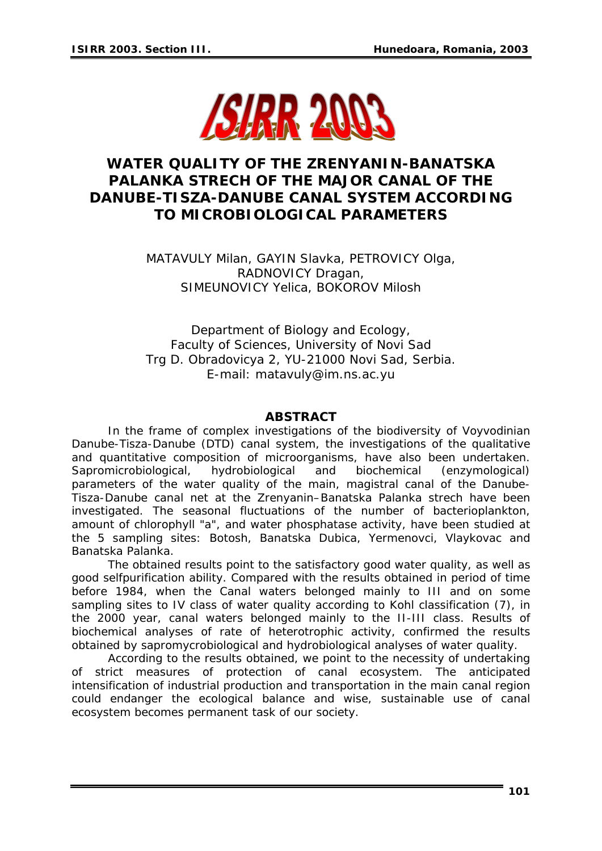

# **WATER QUALITY OF THE ZRENYANIN-BANATSKA PALANKA STRECH OF THE MAJOR CANAL OF THE DANUBE-TISZA-DANUBE CANAL SYSTEM ACCORDING TO MICROBIOLOGICAL PARAMETERS**

MATAVULY Milan, GAYIN Slavka, PETROVICY Olga, RADNOVICY Dragan, SIMEUNOVICY Yelica, BOKOROV Milosh

Department of Biology and Ecology, Faculty of Sciences, University of Novi Sad Trg D. Obradovicya 2, YU-21000 Novi Sad, Serbia. E-mail: matavuly@im.ns.ac.yu

#### *ABSTRACT*

*In the frame of complex investigations of the biodiversity of Voyvodinian Danube-Tisza-Danube (DTD) canal system, the investigations of the qualitative and quantitative composition of microorganisms, have also been undertaken. Sapromicrobiological, hydrobiological and biochemical (enzymological) parameters of the water quality of the main, magistral canal of the Danube-Tisza-Danube canal net at the Zrenyanin–Banatska Palanka strech have been investigated. The seasonal fluctuations of the number of bacterioplankton, amount of chlorophyll "a", and water phosphatase activity, have been studied at the 5 sampling sites: Botosh, Banatska Dubica, Yermenovci, Vlaykovac and Banatska Palanka.* 

 *The obtained results point to the satisfactory good water quality, as well as good selfpurification ability. Compared with the results obtained in period of time before 1984, when the Canal waters belonged mainly to III and on some sampling sites to IV class of water quality according to Kohl classification (7), in the 2000 year, canal waters belonged mainly to the II-III class. Results of biochemical analyses of rate of heterotrophic activity, confirmed the results obtained by sapromycrobiological and hydrobiological analyses of water quality.* 

 *According to the results obtained, we point to the necessity of undertaking of strict measures of protection of canal ecosystem. The anticipated intensification of industrial production and transportation in the main canal region could endanger the ecological balance and wise, sustainable use of canal ecosystem becomes permanent task of our society.*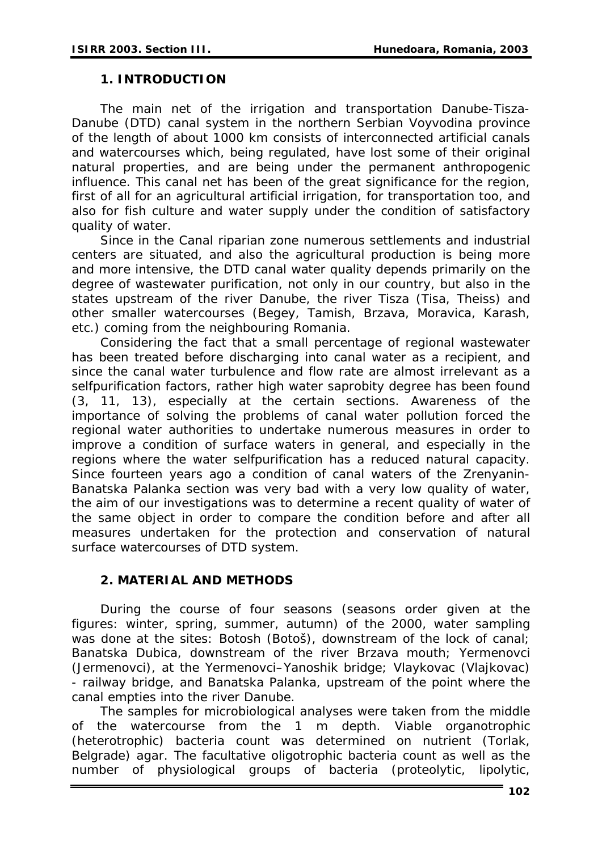### **1. INTRODUCTION**

The main net of the irrigation and transportation Danube-Tisza-Danube (DTD) canal system in the northern Serbian Voyvodina province of the length of about 1000 km consists of interconnected artificial canals and watercourses which, being regulated, have lost some of their original natural properties, and are being under the permanent anthropogenic influence. This canal net has been of the great significance for the region, first of all for an agricultural artificial irrigation, for transportation too, and also for fish culture and water supply under the condition of satisfactory quality of water.

Since in the Canal riparian zone numerous settlements and industrial centers are situated, and also the agricultural production is being more and more intensive, the DTD canal water quality depends primarily on the degree of wastewater purification, not only in our country, but also in the states upstream of the river Danube, the river Tisza (Tisa, Theiss) and other smaller watercourses (Begey, Tamish, Brzava, Moravica, Karash, etc.) coming from the neighbouring Romania.

Considering the fact that a small percentage of regional wastewater has been treated before discharging into canal water as a recipient, and since the canal water turbulence and flow rate are almost irrelevant as a selfpurification factors, rather high water saprobity degree has been found (3, 11, 13), especially at the certain sections. Awareness of the importance of solving the problems of canal water pollution forced the regional water authorities to undertake numerous measures in order to improve a condition of surface waters in general, and especially in the regions where the water selfpurification has a reduced natural capacity. Since fourteen years ago a condition of canal waters of the Zrenyanin-Banatska Palanka section was very bad with a very low quality of water, the aim of our investigations was to determine a recent quality of water of the same object in order to compare the condition before and after all measures undertaken for the protection and conservation of natural surface watercourses of DTD system.

### **2. MATERIAL AND METHODS**

During the course of four seasons (seasons order given at the figures: winter, spring, summer, autumn) of the 2000, water sampling was done at the sites: Botosh (Botoš), downstream of the lock of canal; Banatska Dubica, downstream of the river Brzava mouth; Yermenovci (Jermenovci), at the Yermenovci–Yanoshik bridge; Vlaykovac (Vlajkovac) - railway bridge, and Banatska Palanka, upstream of the point where the canal empties into the river Danube.

The samples for microbiological analyses were taken from the middle of the watercourse from the 1 m depth. Viable organotrophic (heterotrophic) bacteria count was determined on nutrient (Torlak, Belgrade) agar. The facultative oligotrophic bacteria count as well as the number of physiological groups of bacteria (proteolytic, lipolytic,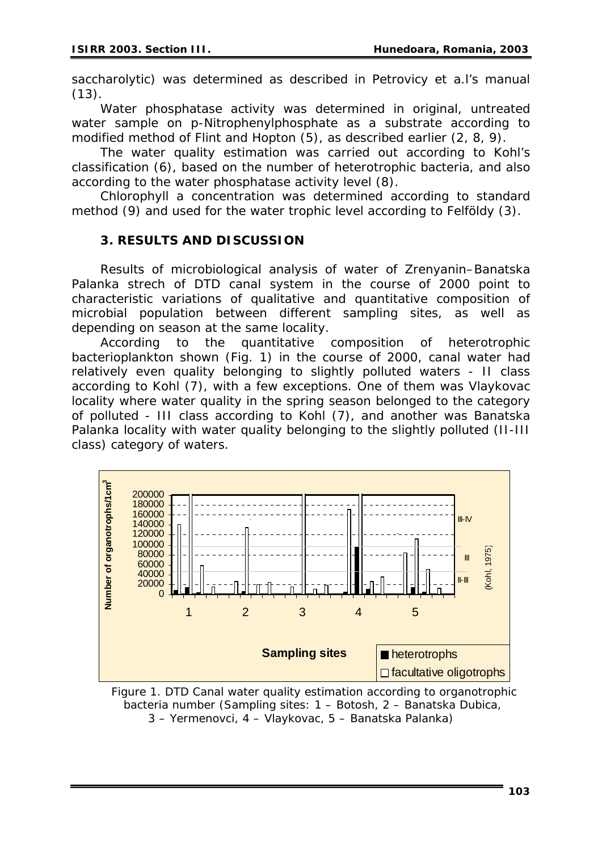saccharolytic) was determined as described in Petrovicy *et a.l*'s manual  $(13).$ 

Water phosphatase activity was determined in original, untreated water sample on p-Nitrophenylphosphate as a substrate according to modified method of Flint and Hopton (5), as described earlier (2, 8, 9).

The water quality estimation was carried out according to Kohl's classification (6), based on the number of heterotrophic bacteria, and also according to the water phosphatase activity level (8).

Chlorophyll *a* concentration was determined according to standard method (9) and used for the water trophic level according to Felföldy (3).

### **3. RESULTS AND DISCUSSION**

Results of microbiological analysis of water of Zrenyanin–Banatska Palanka strech of DTD canal system in the course of 2000 point to characteristic variations of qualitative and quantitative composition of microbial population between different sampling sites, as well as depending on season at the same locality.

According to the quantitative composition of heterotrophic bacterioplankton shown (Fig. 1) in the course of 2000, canal water had relatively even quality belonging to slightly polluted waters - II class according to Kohl (7), with a few exceptions. One of them was Vlaykovac locality where water quality in the spring season belonged to the category of polluted - III class according to Kohl (7), and another was Banatska Palanka locality with water quality belonging to the slightly polluted (II-III class) category of waters.



 *Figure 1. DTD Canal water quality estimation according to organotrophic bacteria number (Sampling sites: 1 – Botosh, 2 – Banatska Dubica, 3 – Yermenovci, 4 – Vlaykovac, 5 – Banatska Palanka)*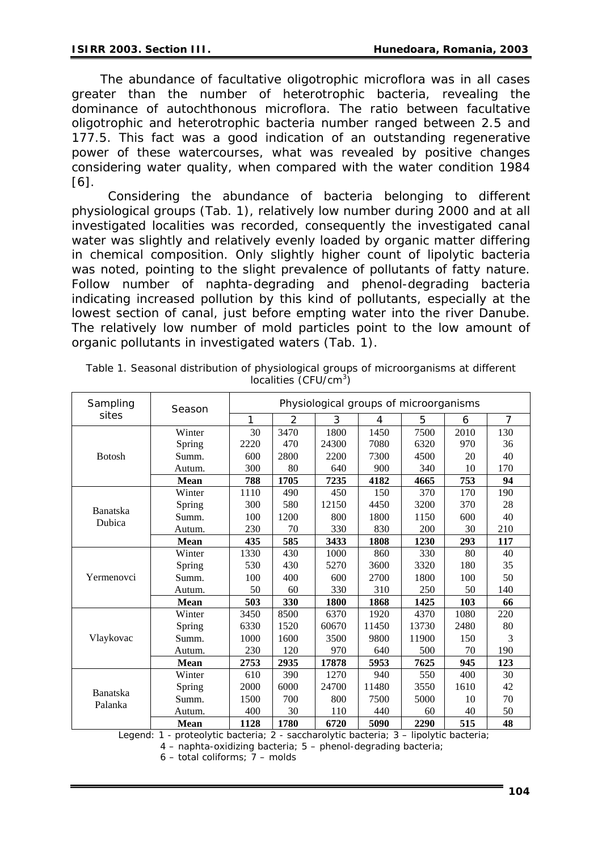The abundance of facultative oligotrophic microflora was in all cases greater than the number of heterotrophic bacteria, revealing the dominance of autochthonous microflora. The ratio between facultative oligotrophic and heterotrophic bacteria number ranged between 2.5 and 177.5. This fact was a good indication of an outstanding regenerative power of these watercourses, what was revealed by positive changes considering water quality, when compared with the water condition 1984 [6].

 Considering the abundance of bacteria belonging to different physiological groups (Tab. 1), relatively low number during 2000 and at all investigated localities was recorded, consequently the investigated canal water was slightly and relatively evenly loaded by organic matter differing in chemical composition. Only slightly higher count of lipolytic bacteria was noted, pointing to the slight prevalence of pollutants of fatty nature. Follow number of naphta-degrading and phenol-degrading bacteria indicating increased pollution by this kind of pollutants, especially at the lowest section of canal, just before empting water into the river Danube. The relatively low number of mold particles point to the low amount of organic pollutants in investigated waters (Tab. 1).

| Sampling<br>sites          | Season      | Physiological groups of microorganisms |      |       |       |       |      |     |
|----------------------------|-------------|----------------------------------------|------|-------|-------|-------|------|-----|
|                            |             | 1                                      | 2    | 3     | 4     | 5     | 6    | 7   |
| <b>Botosh</b>              | Winter      | 30                                     | 3470 | 1800  | 1450  | 7500  | 2010 | 130 |
|                            | Spring      | 2220                                   | 470  | 24300 | 7080  | 6320  | 970  | 36  |
|                            | Summ.       | 600                                    | 2800 | 2200  | 7300  | 4500  | 20   | 40  |
|                            | Autum.      | 300                                    | 80   | 640   | 900   | 340   | 10   | 170 |
|                            | <b>Mean</b> | 788                                    | 1705 | 7235  | 4182  | 4665  | 753  | 94  |
| <b>Banatska</b><br>Dubica  | Winter      | 1110                                   | 490  | 450   | 150   | 370   | 170  | 190 |
|                            | Spring      | 300                                    | 580  | 12150 | 4450  | 3200  | 370  | 28  |
|                            | Summ.       | 100                                    | 1200 | 800   | 1800  | 1150  | 600  | 40  |
|                            | Autum.      | 230                                    | 70   | 330   | 830   | 200   | 30   | 210 |
|                            | <b>Mean</b> | 435                                    | 585  | 3433  | 1808  | 1230  | 293  | 117 |
| Yermenovci                 | Winter      | 1330                                   | 430  | 1000  | 860   | 330   | 80   | 40  |
|                            | Spring      | 530                                    | 430  | 5270  | 3600  | 3320  | 180  | 35  |
|                            | Summ.       | 100                                    | 400  | 600   | 2700  | 1800  | 100  | 50  |
|                            | Autum.      | 50                                     | 60   | 330   | 310   | 250   | 50   | 140 |
|                            | <b>Mean</b> | 503                                    | 330  | 1800  | 1868  | 1425  | 103  | 66  |
| Vlaykovac                  | Winter      | 3450                                   | 8500 | 6370  | 1920  | 4370  | 1080 | 220 |
|                            | Spring      | 6330                                   | 1520 | 60670 | 11450 | 13730 | 2480 | 80  |
|                            | Summ.       | 1000                                   | 1600 | 3500  | 9800  | 11900 | 150  | 3   |
|                            | Autum.      | 230                                    | 120  | 970   | 640   | 500   | 70   | 190 |
|                            | <b>Mean</b> | 2753                                   | 2935 | 17878 | 5953  | 7625  | 945  | 123 |
| <b>Banatska</b><br>Palanka | Winter      | 610                                    | 390  | 1270  | 940   | 550   | 400  | 30  |
|                            | Spring      | 2000                                   | 6000 | 24700 | 11480 | 3550  | 1610 | 42  |
|                            | Summ.       | 1500                                   | 700  | 800   | 7500  | 5000  | 10   | 70  |
|                            | Autum.      | 400                                    | 30   | 110   | 440   | 60    | 40   | 50  |
|                            | <b>Mean</b> | 1128                                   | 1780 | 6720  | 5090  | 2290  | 515  | 48  |

*Table 1. Seasonal distribution of physiological groups of microorganisms at different localities (CFU/cm<sup>3</sup> )* 

Legend: 1 - proteolytic bacteria; 2 - saccharolytic bacteria; 3 – lipolytic bacteria;

4 – naphta-oxidizing bacteria; 5 – phenol-degrading bacteria;

6 – total coliforms; 7 – molds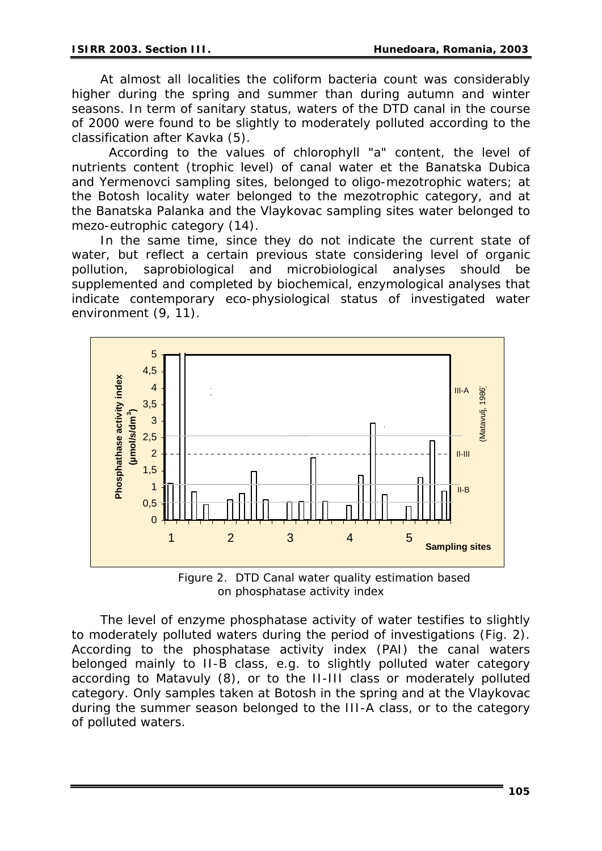At almost all localities the coliform bacteria count was considerably higher during the spring and summer than during autumn and winter seasons. In term of sanitary status, waters of the DTD canal in the course of 2000 were found to be slightly to moderately polluted according to the classification after Kavka (5).

 According to the values of chlorophyll "a" content, the level of nutrients content (trophic level) of canal water et the Banatska Dubica and Yermenovci sampling sites, belonged to oligo-mezotrophic waters; at the Botosh locality water belonged to the mezotrophic category, and at the Banatska Palanka and the Vlaykovac sampling sites water belonged to mezo-eutrophic category (14).

In the same time, since they do not indicate the current state of water, but reflect a certain previous state considering level of organic pollution, saprobiological and microbiological analyses should be supplemented and completed by biochemical, enzymological analyses that indicate contemporary eco-physiological status of investigated water environment (9, 11).



*Figure 2. DTD Canal water quality estimation based on phosphatase activity index*

The level of enzyme phosphatase activity of water testifies to slightly to moderately polluted waters during the period of investigations (Fig. 2). According to the phosphatase activity index (PAI) the canal waters belonged mainly to II-B class, e.g. to slightly polluted water category according to Matavuly (8), or to the II-III class or moderately polluted category. Only samples taken at Botosh in the spring and at the Vlaykovac during the summer season belonged to the III-A class, or to the category of polluted waters.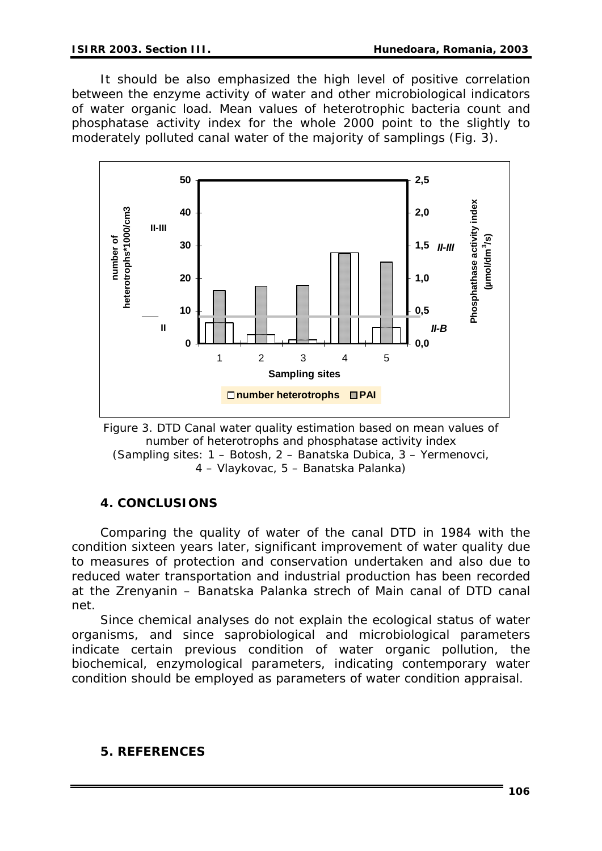It should be also emphasized the high level of positive correlation between the enzyme activity of water and other microbiological indicators of water organic load. Mean values of heterotrophic bacteria count and phosphatase activity index for the whole 2000 point to the slightly to moderately polluted canal water of the majority of samplings (Fig. 3).



*Figure 3. DTD Canal water quality estimation based on mean values of number of heterotrophs and phosphatase activity index (Sampling sites: 1 – Botosh, 2 – Banatska Dubica, 3 – Yermenovci, 4 – Vlaykovac, 5 – Banatska Palanka)* 

## **4. CONCLUSIONS**

Comparing the quality of water of the canal DTD in 1984 with the condition sixteen years later, significant improvement of water quality due to measures of protection and conservation undertaken and also due to reduced water transportation and industrial production has been recorded at the Zrenyanin – Banatska Palanka strech of Main canal of DTD canal net.

Since chemical analyses do not explain the ecological status of water organisms, and since saprobiological and microbiological parameters indicate certain previous condition of water organic pollution, the biochemical, enzymological parameters, indicating contemporary water condition should be employed as parameters of water condition appraisal.

### **5. REFERENCES**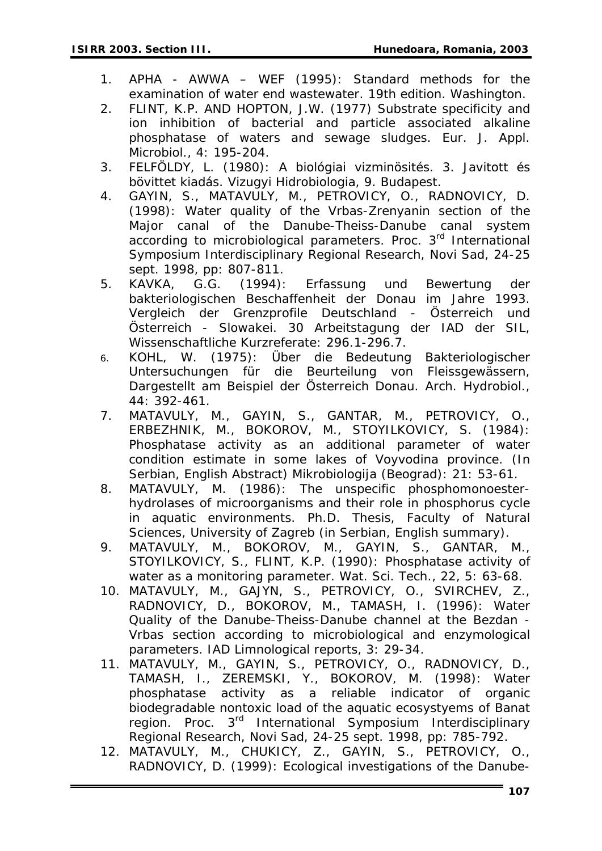- 1. APHA AWWA WEF (1995): Standard methods for the examination of water end wastewater. 19th edition. Washington.
- 2. FLINT, K.P. AND HOPTON, J.W. (1977) Substrate specificity and ion inhibition of bacterial and particle associated alkaline phosphatase of waters and sewage sludges. Eur. J. Appl. Microbiol., 4: 195-204.
- 3. FELFÖLDY, L. (1980): A biológiai vizminösités. 3. Javitott és bövittet kiadás. Vizugyi Hidrobiologia, 9. Budapest.
- 4. GAYIN, S., MATAVULY, M., PETROVICY, O., RADNOVICY, D. (1998): Water quality of the Vrbas-Zrenyanin section of the Major canal of the Danube-Theiss-Danube canal system according to microbiological parameters. Proc. 3rd International Symposium Interdisciplinary Regional Research, Novi Sad, 24-25 sept. 1998, pp: 807-811.
- 5. KAVKA, G.G. (1994): Erfassung und Bewertung der bakteriologischen Beschaffenheit der Donau im Jahre 1993. Vergleich der Grenzprofile Deutschland - Österreich und Österreich - Slowakei. 30 Arbeitstagung der IAD der SIL, Wissenschaftliche Kurzreferate: 296.1-296.7.
- 6. KOHL, W. (1975): Über die Bedeutung Bakteriologischer Untersuchungen für die Beurteilung von Fleissgewässern, Dargestellt am Beispiel der Österreich Donau. Arch. Hydrobiol., 44: 392-461.
- 7. MATAVULY, M., GAYIN, S., GANTAR, M., PETROVICY, O., ERBEZHNIK, M., BOKOROV, M., STOYILKOVICY, S. (1984): Phosphatase activity as an additional parameter of water condition estimate in some lakes of Voyvodina province. (In Serbian, English Abstract) Mikrobiologija (Beograd): 21: 53-61.
- 8. MATAVULY, M. (1986): The unspecific phosphomonoesterhydrolases of microorganisms and their role in phosphorus cycle in aquatic environments. Ph.D. Thesis, Faculty of Natural Sciences, University of Zagreb (in Serbian, English summary).
- 9. MATAVULY, M., BOKOROV, M., GAYIN, S., GANTAR, M., STOYILKOVICY, S., FLINT, K.P. (1990): Phosphatase activity of water as a monitoring parameter. Wat. Sci. Tech., 22, 5: 63-68.
- 10. MATAVULY, M., GAJYN, S., PETROVICY, O., SVIRCHEV, Z., RADNOVICY, D., BOKOROV, M., TAMASH, I. (1996): Water Quality of the Danube-Theiss-Danube channel at the Bezdan - Vrbas section according to microbiological and enzymological parameters. IAD Limnological reports*, 3:* 29-34.
- 11. MATAVULY, M., GAYIN, S., PETROVICY, O., RADNOVICY, D., TAMASH, I., ZEREMSKI, Y., BOKOROV, M. (1998): Water phosphatase activity as a reliable indicator of organic biodegradable nontoxic load of the aquatic ecosystyems of Banat region. Proc. 3<sup>rd</sup> International Symposium Interdisciplinary Regional Research, Novi Sad, 24-25 sept. 1998, pp: 785-792.
- 12. MATAVULY, M., CHUKICY, Z., GAYIN, S., PETROVICY, O., RADNOVICY, D. (1999): Ecological investigations of the Danube-